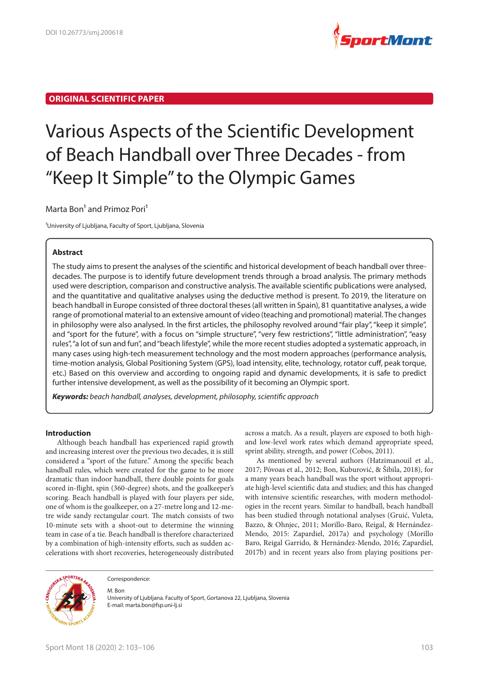

# **ORIGINAL SCIENTIFIC PAPER**

# Various Aspects of the Scientific Development of Beach Handball over Three Decades - from "Keep It Simple" to the Olympic Games

# Marta Bon<sup>1</sup> and Primoz Pori<sup>1</sup>

<sup>1</sup>University of Ljubljana, Faculty of Sport, Ljubljana, Slovenia

#### **Abstract**

The study aims to present the analyses of the scientific and historical development of beach handball over threedecades. The purpose is to identify future development trends through a broad analysis. The primary methods used were description, comparison and constructive analysis. The available scientific publications were analysed, and the quantitative and qualitative analyses using the deductive method is present. To 2019, the literature on beach handball in Europe consisted of three doctoral theses (all written in Spain), 81 quantitative analyses, a wide range of promotional material to an extensive amount of video (teaching and promotional) material. The changes in philosophy were also analysed. In the first articles, the philosophy revolved around "fair play", "keep it simple", and "sport for the future", with a focus on "simple structure", "very few restrictions", "little administration", "easy rules", "a lot of sun and fun", and "beach lifestyle", while the more recent studies adopted a systematic approach, in many cases using high-tech measurement technology and the most modern approaches (performance analysis, time-motion analysis, Global Positioning System (GPS), load intensity, elite, technology, rotator cuff, peak torque, etc.) Based on this overview and according to ongoing rapid and dynamic developments, it is safe to predict further intensive development, as well as the possibility of it becoming an Olympic sport.

*Keywords: beach handball, analyses, development, philosophy, scientific approach*

#### **Introduction**

Although beach handball has experienced rapid growth and increasing interest over the previous two decades, it is still considered a "sport of the future." Among the specific beach handball rules, which were created for the game to be more dramatic than indoor handball, there double points for goals scored in-flight, spin (360-degree) shots, and the goalkeeper's scoring. Beach handball is played with four players per side, one of whom is the goalkeeper, on a 27-metre long and 12-metre wide sandy rectangular court. The match consists of two 10-minute sets with a shoot-out to determine the winning team in case of a tie. Beach handball is therefore characterized by a combination of high-intensity efforts, such as sudden accelerations with short recoveries, heterogeneously distributed

across a match. As a result, players are exposed to both highand low-level work rates which demand appropriate speed, sprint ability, strength, and power (Cobos, 2011).

As mentioned by several authors (Hatzimanouil et al., 2017; Póvoas et al., 2012; Bon, Kuburović, & Šibila, 2018), for a many years beach handball was the sport without appropriate high-level scientific data and studies; and this has changed with intensive scientific researches, with modern methodologies in the recent years. Similar to handball, beach handball has been studied through notational analyses (Gruić, Vuleta, Bazzo, & Ohnjec, 2011; Morillo-Baro, Reigal, & Hernández-Mendo, 2015: Zapardiel, 2017a) and psychology (Morillo Baro, Reigal Garrido, & Hernández-Mendo, 2016; Zapardiel, 2017b) and in recent years also from playing positions per-



Correspondence:

M. Ron

University of Ljubljana. Faculty of Sport, Gortanova 22, Ljubljana, Slovenia E-mail: marta.bon@fsp.uni-lj.si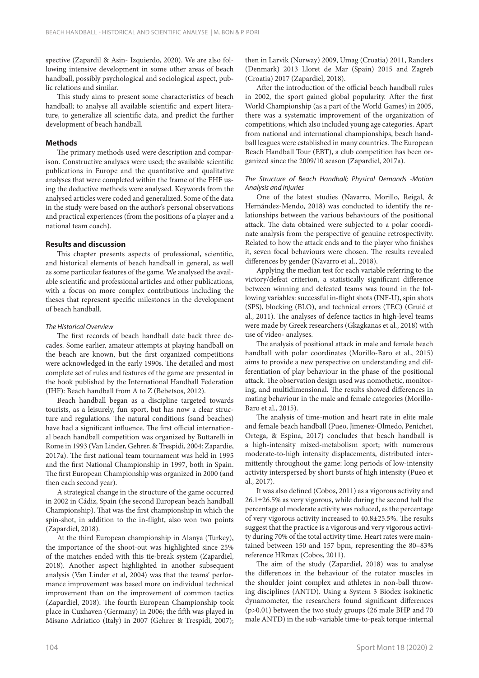spective (Zapardil & Asin- Izquierdo, 2020). We are also following intensive development in some other areas of beach handball, possibly psychological and sociological aspect, public relations and similar.

This study aims to present some characteristics of beach handball; to analyse all available scientific and expert literature, to generalize all scientific data, and predict the further development of beach handball.

## **Methods**

The primary methods used were description and comparison. Constructive analyses were used; the available scientific publications in Europe and the quantitative and qualitative analyses that were completed within the frame of the EHF using the deductive methods were analysed. Keywords from the analysed articles were coded and generalized. Some of the data in the study were based on the author's personal observations and practical experiences (from the positions of a player and a national team coach).

### **Results and discussion**

This chapter presents aspects of professional, scientific, and historical elements of beach handball in general, as well as some particular features of the game. We analysed the available scientific and professional articles and other publications, with a focus on more complex contributions including the theses that represent specific milestones in the development of beach handball.

### *The Historical Overview*

The first records of beach handball date back three decades. Some earlier, amateur attempts at playing handball on the beach are known, but the first organized competitions were acknowledged in the early 1990s. The detailed and most complete set of rules and features of the game are presented in the book published by the International Handball Federation (IHF): Beach handball from A to Z (Bebetsos, 2012).

Beach handball began as a discipline targeted towards tourists, as a leisurely, fun sport, but has now a clear structure and regulations. The natural conditions (sand beaches) have had a significant influence. The first official international beach handball competition was organized by Buttarelli in Rome in 1993 (Van Linder, Gehrer, & Trespidi, 2004: Zapardie, 2017a). The first national team tournament was held in 1995 and the first National Championship in 1997, both in Spain. The first European Championship was organized in 2000 (and then each second year).

A strategical change in the structure of the game occurred in 2002 in Cádiz, Spain (the second European beach handball Championship). That was the first championship in which the spin-shot, in addition to the in-flight, also won two points (Zapardiel, 2018).

At the third European championship in Alanya (Turkey), the importance of the shoot-out was highlighted since 25% of the matches ended with this tie-break system (Zapardiel, 2018). Another aspect highlighted in another subsequent analysis (Van Linder et al, 2004) was that the teams' performance improvement was based more on individual technical improvement than on the improvement of common tactics (Zapardiel, 2018). The fourth European Championship took place in Cuxhaven (Germany) in 2006; the fifth was played in Misano Adriatico (Italy) in 2007 (Gehrer & Trespidi, 2007); then in Larvik (Norway) 2009, Umag (Croatia) 2011, Randers (Denmark) 2013 Lloret de Mar (Spain) 2015 and Zagreb (Croatia) 2017 (Zapardiel, 2018).

After the introduction of the official beach handball rules in 2002, the sport gained global popularity. After the first World Championship (as a part of the World Games) in 2005, there was a systematic improvement of the organization of competitions, which also included young age categories. Apart from national and international championships, beach handball leagues were established in many countries. The European Beach Handball Tour (EBT), a club competition has been organized since the 2009/10 season (Zapardiel, 2017a).

#### *The Structure of Beach Handball; Physical Demands -Motion Analysis and Injuries*

One of the latest studies (Navarro, Morillo, Reigal, & Hernández-Mendo, 2018) was conducted to identify the relationships between the various behaviours of the positional attack. The data obtained were subjected to a polar coordinate analysis from the perspective of genuine retrospectivity. Related to how the attack ends and to the player who finishes it, seven focal behaviours were chosen. The results revealed differences by gender (Navarro et al., 2018).

Applying the median test for each variable referring to the victory/defeat criterion, a statistically significant difference between winning and defeated teams was found in the following variables: successful in-flight shots (INF-U), spin shots (SPS), blocking (BLO), and technical errors (TEC) (Gruić et al., 2011). The analyses of defence tactics in high-level teams were made by Greek researchers (Gkagkanas et al., 2018) with use of video- analyses.

The analysis of positional attack in male and female beach handball with polar coordinates (Morillo-Baro et al., 2015) aims to provide a new perspective on understanding and differentiation of play behaviour in the phase of the positional attack. The observation design used was nomothetic, monitoring, and multidimensional. The results showed differences in mating behaviour in the male and female categories (Morillo-Baro et al., 2015).

The analysis of time-motion and heart rate in elite male and female beach handball (Pueo, Jimenez-Olmedo, Penichet, Ortega, & Espina, 2017) concludes that beach handball is a high-intensity mixed-metabolism sport; with numerous moderate-to-high intensity displacements, distributed intermittently throughout the game: long periods of low-intensity activity interspersed by short bursts of high intensity (Pueo et al., 2017).

It was also defined (Cobos, 2011) as a vigorous activity and 26.1±26.5% as very vigorous, while during the second half the percentage of moderate activity was reduced, as the percentage of very vigorous activity increased to 40.8±25.5%. The results suggest that the practice is a vigorous and very vigorous activity during 70% of the total activity time. Heart rates were maintained between 150 and 157 bpm, representing the 80–83% reference HRmax (Cobos, 2011).

The aim of the study (Zapardiel, 2018) was to analyse the differences in the behaviour of the rotator muscles in the shoulder joint complex and athletes in non-ball throwing disciplines (ANTD). Using a System 3 Biodex isokinetic dynamometer, the researchers found significant differences (p>0.01) between the two study groups (26 male BHP and 70 male ANTD) in the sub-variable time-to-peak torque-internal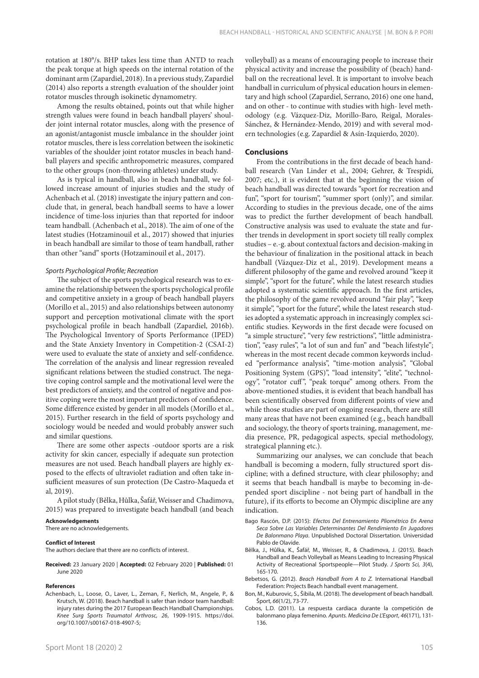rotation at 180°/s. BHP takes less time than ANTD to reach the peak torque at high speeds on the internal rotation of the dominant arm (Zapardiel, 2018). In a previous study, Zapardiel (2014) also reports a strength evaluation of the shoulder joint rotator muscles through isokinetic dynamometry.

Among the results obtained, points out that while higher strength values were found in beach handball players' shoulder joint internal rotator muscles, along with the presence of an agonist/antagonist muscle imbalance in the shoulder joint rotator muscles, there is less correlation between the isokinetic variables of the shoulder joint rotator muscles in beach handball players and specific anthropometric measures, compared to the other groups (non-throwing athletes) under study.

As is typical in handball, also in beach handball, we followed increase amount of injuries studies and the study of Achenbach et al. (2018) investigate the injury pattern and conclude that, in general, beach handball seems to have a lower incidence of time-loss injuries than that reported for indoor team handball. (Achenbach et al., 2018). The aim of one of the latest studies (Hotzaminouil et al., 2017) showed that injuries in beach handball are similar to those of team handball, rather than other "sand" sports (Hotzaminouil et al., 2017).

#### *Sports Psychological Profile; Recreation*

The subject of the sports psychological research was to examine the relationship between the sports psychological profile and competitive anxiety in a group of beach handball players (Morillo et al., 2015) and also relationships between autonomy support and perception motivational climate with the sport psychological profile in beach handball (Zapardiel, 2016b). The Psychological Inventory of Sports Performance (IPED) and the State Anxiety Inventory in Competition-2 (CSAI-2) were used to evaluate the state of anxiety and self-confidence. The correlation of the analysis and linear regression revealed significant relations between the studied construct. The negative coping control sample and the motivational level were the best predictors of anxiety, and the control of negative and positive coping were the most important predictors of confidence. Some difference existed by gender in all models (Morillo et al., 2015). Further research in the field of sports psychology and sociology would be needed and would probably answer such and similar questions.

There are some other aspects -outdoor sports are a risk activity for skin cancer, especially if adequate sun protection measures are not used. Beach handball players are highly exposed to the effects of ultraviolet radiation and often take insufficient measures of sun protection (De Castro-Maqueda et al, 2019).

A pilot study (Bělka, Hůlka, Šafář, Weisser and Chadimova, 2015) was prepared to investigate beach handball (and beach

#### **Acknowledgements**

There are no acknowledgements.

#### **Conflict of Interest**

The authors declare that there are no conflicts of interest.

**Received:** 23 January 2020 | **Accepted:** 02 February 2020 | **Published:** 01 June 2020

#### **References**

Achenbach, L., Loose, O., Laver, L., Zeman, F., Nerlich, M., Angele, P., & Krutsch, W. (2018). Beach handball is safer than indoor team handball: injury rates during the 2017 European Beach Handball Championships. *Knee Surg Sports Traumatol Arthrosc, 26*, 1909-1915. https://doi. org/10.1007/s00167-018-4907-5;

volleyball) as a means of encouraging people to increase their physical activity and increase the possibility of (beach) handball on the recreational level. It is important to involve beach handball in curriculum of physical education hours in elementary and high school (Zapardiel, Serrano, 2016) one one hand, and on other - to continue with studies with high- level methodology (e.g. Vázquez-Diz, Morillo-Baro, Reigal, Morales-Sánchez, & Hernández-Mendo, 2019) and with several modern technologies (e.g. Zapardiel & Asín-Izquierdo, 2020).

## **Conclusions**

From the contributions in the first decade of beach handball research (Van Linder et al., 2004; Gehrer, & Trespidi, 2007; etc.), it is evident that at the beginning the vision of beach handball was directed towards "sport for recreation and fun", "sport for tourism", "summer sport (only)", and similar. According to studies in the previous decade, one of the aims was to predict the further development of beach handball. Constructive analysis was used to evaluate the state and further trends in development in sport society till really complex studies – e.-g. about contextual factors and decision-making in the behaviour of finalization in the positional attack in beach handball (Vázquez-Diz et al., 2019). Development means a different philosophy of the game and revolved around "keep it simple", "sport for the future", while the latest research studies adopted a systematic scientific approach. In the first articles, the philosophy of the game revolved around "fair play", "keep it simple", "sport for the future", while the latest research studies adopted a systematic approach in increasingly complex scientific studies. Keywords in the first decade were focused on "a simple structure", "very few restrictions", "little administration", "easy rules", "a lot of sun and fun" and "beach lifestyle"; whereas in the most recent decade common keywords included "performance analysis", "time-motion analysis", "Global Positioning System (GPS)", "load intensity", "elite", "technology", "rotator cuff", "peak torque" among others. From the above-mentioned studies, it is evident that beach handball has been scientifically observed from different points of view and while those studies are part of ongoing research, there are still many areas that have not been examined (e.g., beach handball and sociology, the theory of sports training, management, media presence, PR, pedagogical aspects, special methodology, strategical planning etc.).

Summarizing our analyses, we can conclude that beach handball is becoming a modern, fully structured sport discipline; with a defined structure, with clear philosophy; and it seems that beach handball is maybe to becoming in-depended sport discipline - not being part of handball in the future), if its efforts to become an Olympic discipline are any indication.

- Bago Rascón, D.P. (2015): *Efectos Del Entrenamiento Pliométrico En Arena Seca Sobre Las Variables Determinantes Del Rendimiento En Jugadores De Balonmano Playa*. Unpublished Doctoral Dissertation. Universidad Pablo de Olavide.
- Bělka, J., Hůlka, K., Šafář, M., Weisser, R., & Chadimova, J. (2015). Beach Handball and Beach Volleyball as Means Leading to Increasing Physical Activity of Recreational Sportspeople—Pilot Study. *J Sports Sci, 3*(4), 165-170.
- Bebetsos, G. (2012). *Beach Handball from A to Z.* International Handball Federation: Projects Beach handball event management.
- Bon, M., Kuburovic, S., Šibila, M. (2018). The development of beach handball. Šport*, 66*(1/2), 73-77.
- Cobos, L.D. (2011). La respuesta cardiaca durante la competición de balonmano playa femenino. *Apunts. Medicina De L'Esport*, *46*(171), 131- 136.